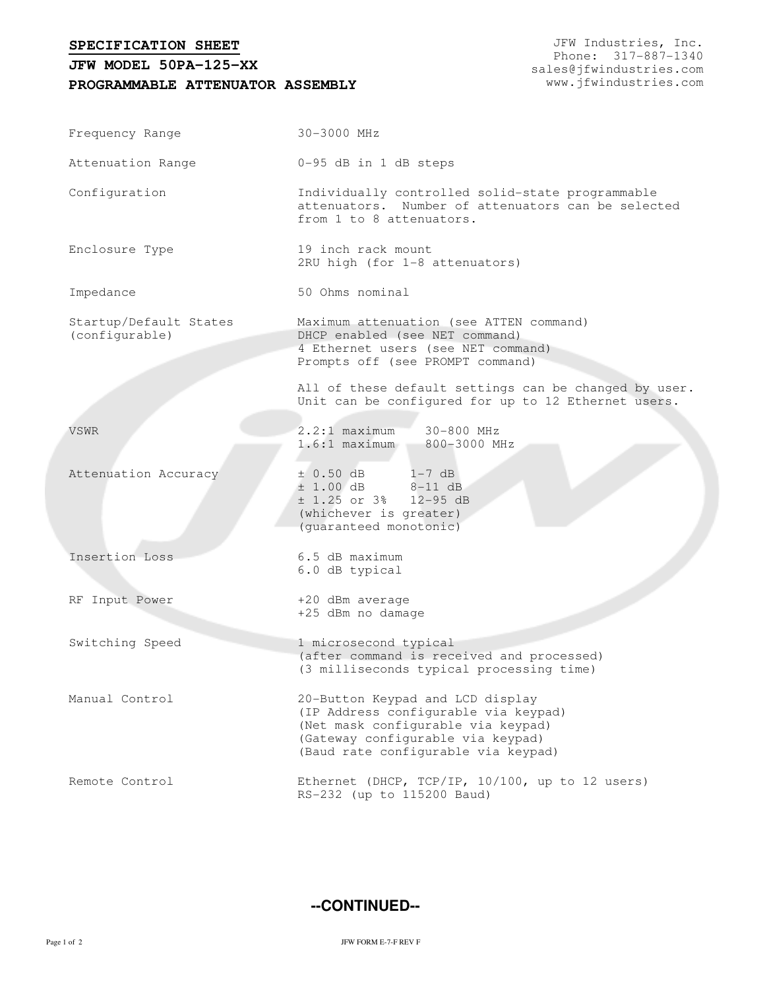**SPECIFICATION SHEET**

## **PROGRAMMABLE ATTENUATOR ASSEMBLY JFW MODEL 50PA-125-XX**

JFW Industries, Inc. Phone: 317-887-1340 sales@jfwindustries.com www.jfwindustries.com

| Frequency Range                          | 30-3000 MHz                                                                                                                                                                                |  |  |
|------------------------------------------|--------------------------------------------------------------------------------------------------------------------------------------------------------------------------------------------|--|--|
| Attenuation Range                        | 0-95 dB in 1 dB steps                                                                                                                                                                      |  |  |
| Configuration                            | Individually controlled solid-state programmable<br>attenuators. Number of attenuators can be selected<br>from 1 to 8 attenuators.                                                         |  |  |
| Enclosure Type                           | 19 inch rack mount<br>2RU high (for 1-8 attenuators)                                                                                                                                       |  |  |
| Impedance                                | 50 Ohms nominal                                                                                                                                                                            |  |  |
| Startup/Default States<br>(configurable) | Maximum attenuation (see ATTEN command)<br>DHCP enabled (see NET command)<br>4 Ethernet users (see NET command)<br>Prompts off (see PROMPT command)                                        |  |  |
|                                          | All of these default settings can be changed by user.<br>Unit can be configured for up to 12 Ethernet users.                                                                               |  |  |
| VSWR                                     | $2.2:1$ maximum<br>30-800 MHz<br>$1.6:1$ maximum<br>800-3000 MHz                                                                                                                           |  |  |
| Attenuation Accuracy                     | ± 0.50 dB<br>$1-7$ dB<br>$± 1.00 dB$ 8-11 dB<br>$\pm$ 1.25 or 3% 12-95 dB<br>(whichever is greater)<br>(guaranteed monotonic)                                                              |  |  |
| Insertion Loss                           | 6.5 dB maximum<br>6.0 dB typical                                                                                                                                                           |  |  |
| RF Input Power                           | +20 dBm average<br>+25 dBm no damage                                                                                                                                                       |  |  |
| Switching Speed                          | 1 microsecond typical<br>(after command is received and processed)<br>(3 milliseconds typical processing time)                                                                             |  |  |
| Manual Control                           | 20-Button Keypad and LCD display<br>(IP Address configurable via keypad)<br>(Net mask configurable via keypad)<br>(Gateway configurable via keypad)<br>(Baud rate configurable via keypad) |  |  |
| Remote Control                           | Ethernet (DHCP, TCP/IP, 10/100, up to 12 users)<br>RS-232 (up to 115200 Baud)                                                                                                              |  |  |

**--CONTINUED--**